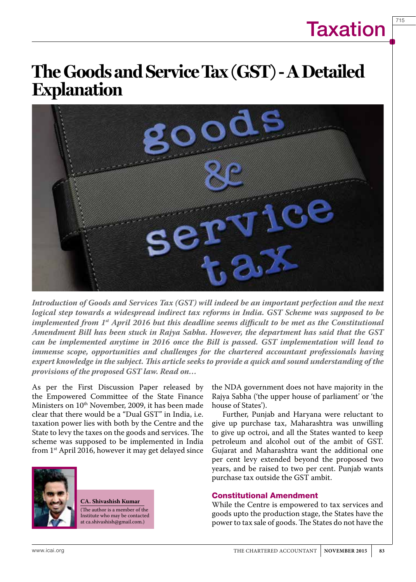# **Taxation**

715

# **The Goods and Service Tax (GST) - A Detailed Explanation**



*Introduction of Goods and Services Tax (GST) will indeed be an important perfection and the next logical step towards a widespread indirect tax reforms in India. GST Scheme was supposed to be implemented from 1st April 2016 but this deadline seems difficult to be met as the Constitutional Amendment Bill has been stuck in Rajya Sabha. However, the department has said that the GST can be implemented anytime in 2016 once the Bill is passed. GST implementation will lead to immense scope, opportunities and challenges for the chartered accountant professionals having expert knowledge in the subject. This article seeks to provide a quick and sound understanding of the provisions of the proposed GST law. Read on…*

As per the First Discussion Paper released by the Empowered Committee of the State Finance Ministers on 10<sup>th</sup> November, 2009, it has been made clear that there would be a "Dual GST" in India, i.e. taxation power lies with both by the Centre and the State to levy the taxes on the goods and services. The scheme was supposed to be implemented in India from 1st April 2016, however it may get delayed since



**CA. Shivashish Kumar** (The author is a member of the Institute who may be contacted at ca.shivashish@gmail.com.)

the NDA government does not have majority in the Rajya Sabha ('the upper house of parliament' or 'the house of States').

Further, Punjab and Haryana were reluctant to give up purchase tax, Maharashtra was unwilling to give up octroi, and all the States wanted to keep petroleum and alcohol out of the ambit of GST. Gujarat and Maharashtra want the additional one per cent levy extended beyond the proposed two years, and be raised to two per cent. Punjab wants purchase tax outside the GST ambit.

#### Constitutional Amendment

While the Centre is empowered to tax services and goods upto the production stage, the States have the power to tax sale of goods. The States do not have the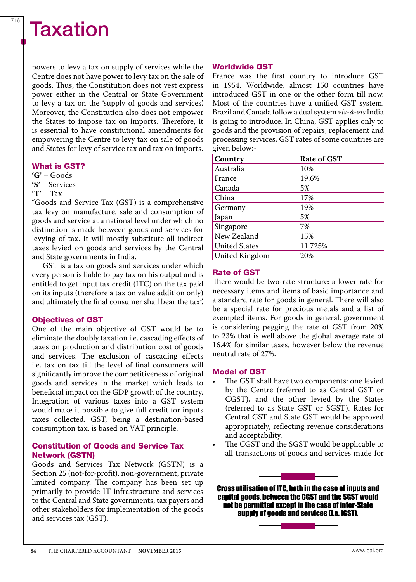powers to levy a tax on supply of services while the Centre does not have power to levy tax on the sale of goods. Thus, the Constitution does not vest express power either in the Central or State Government to levy a tax on the 'supply of goods and services'. Moreover, the Constitution also does not empower the States to impose tax on imports. Therefore, it is essential to have constitutional amendments for empowering the Centre to levy tax on sale of goods and States for levy of service tax and tax on imports.

#### What is GST?

**'G'** – Goods **'S'** – Services

**'T'** – Tax

"Goods and Service Tax (GST) is a comprehensive tax levy on manufacture, sale and consumption of goods and service at a national level under which no distinction is made between goods and services for levying of tax. It will mostly substitute all indirect taxes levied on goods and services by the Central and State governments in India.

GST is a tax on goods and services under which every person is liable to pay tax on his output and is entitled to get input tax credit (ITC) on the tax paid on its inputs (therefore a tax on value addition only) and ultimately the final consumer shall bear the tax".

### Objectives of GST

One of the main objective of GST would be to eliminate the doubly taxation i.e. cascading effects of taxes on production and distribution cost of goods and services. The exclusion of cascading effects i.e. tax on tax till the level of final consumers will significantly improve the competitiveness of original goods and services in the market which leads to beneficial impact on the GDP growth of the country. Integration of various taxes into a GST system would make it possible to give full credit for inputs taxes collected. GST, being a destination-based consumption tax, is based on VAT principle.

#### Constitution of Goods and Service Tax Network (GSTN)

Goods and Services Tax Network (GSTN) is a Section 25 (not-for-profit), non-government, private limited company. The company has been set up primarily to provide IT infrastructure and services to the Central and State governments, tax payers and other stakeholders for implementation of the goods and services tax (GST).

#### Worldwide GST

France was the first country to introduce GST in 1954. Worldwide, almost 150 countries have introduced GST in one or the other form till now. Most of the countries have a unified GST system. Brazil and Canada follow a dual system *vis-à-vis* India is going to introduce. In China, GST applies only to goods and the provision of repairs, replacement and processing services. GST rates of some countries are given below:-

| Country              | <b>Rate of GST</b> |
|----------------------|--------------------|
| Australia            | 10%                |
| France               | 19.6%              |
| Canada               | 5%                 |
| China                | 17%                |
| Germany              | 19%                |
| Japan                | 5%                 |
| Singapore            | 7%                 |
| New Zealand          | 15%                |
| <b>United States</b> | 11.725%            |
| United Kingdom       | 20%                |

### Rate of GST

There would be two-rate structure: a lower rate for necessary items and items of basic importance and a standard rate for goods in general. There will also be a special rate for precious metals and a list of exempted items. For goods in general, government is considering pegging the rate of GST from 20% to 23% that is well above the global average rate of 16.4% for similar taxes, however below the revenue neutral rate of 27%.

#### Model of GST

- The GST shall have two components: one levied by the Centre (referred to as Central GST or CGST), and the other levied by the States (referred to as State GST or SGST). Rates for Central GST and State GST would be approved appropriately, reflecting revenue considerations and acceptability.
- The CGST and the SGST would be applicable to all transactions of goods and services made for

Cross utilisation of ITC, both in the case of inputs and capital goods, between the CGST and the SGST would not be permitted except in the case of inter-State supply of goods and services (i.e. IGST).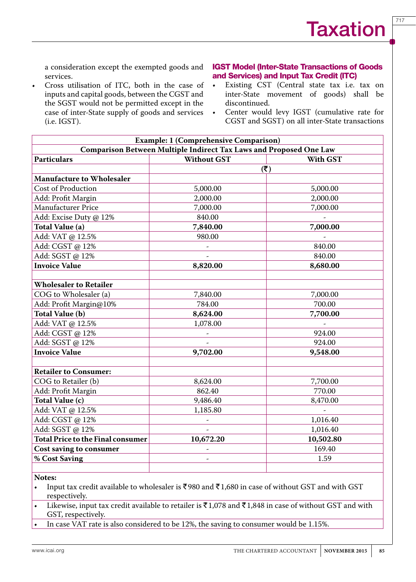717

a consideration except the exempted goods and services.

Cross utilisation of ITC, both in the case of inputs and capital goods, between the CGST and the SGST would not be permitted except in the case of inter-State supply of goods and services (i.e. IGST).

### IGST Model (Inter-State Transactions of Goods and Services) and Input Tax Credit (ITC)

- • Existing CST (Central state tax i.e. tax on inter-State movement of goods) shall be discontinued.
- • Center would levy IGST (cumulative rate for CGST and SGST) on all inter-State transactions

| <b>Example: 1 (Comprehensive Comparison)</b>                       |                           |                 |  |
|--------------------------------------------------------------------|---------------------------|-----------------|--|
| Comparison Between Multiple Indirect Tax Laws and Proposed One Law |                           |                 |  |
| <b>Particulars</b>                                                 | <b>Without GST</b>        | <b>With GST</b> |  |
|                                                                    | $(\overline{\mathbf{x}})$ |                 |  |
| <b>Manufacture to Wholesaler</b>                                   |                           |                 |  |
| <b>Cost of Production</b>                                          | 5,000.00                  | 5,000.00        |  |
| Add: Profit Margin                                                 | 2,000.00                  | 2,000.00        |  |
| <b>Manufacturer Price</b>                                          | 7,000.00                  | 7,000.00        |  |
| Add: Excise Duty @ 12%                                             | 840.00                    |                 |  |
| Total Value (a)                                                    | 7,840.00                  | 7,000.00        |  |
| Add: VAT @ 12.5%                                                   | 980.00                    |                 |  |
| Add: CGST @ 12%                                                    |                           | 840.00          |  |
| Add: SGST @ 12%                                                    |                           | 840.00          |  |
| <b>Invoice Value</b>                                               | 8,820.00                  | 8,680.00        |  |
|                                                                    |                           |                 |  |
| <b>Wholesaler to Retailer</b>                                      |                           |                 |  |
| COG to Wholesaler (a)                                              | 7,840.00                  | 7,000.00        |  |
| Add: Profit Margin@10%                                             | 784.00                    | 700.00          |  |
| Total Value (b)                                                    | 8,624.00                  | 7,700.00        |  |
| Add: VAT @ 12.5%                                                   | 1,078.00                  |                 |  |
| Add: CGST @ 12%                                                    |                           | 924.00          |  |
| Add: SGST @ 12%                                                    |                           | 924.00          |  |
| <b>Invoice Value</b>                                               | 9,702.00                  | 9,548.00        |  |
|                                                                    |                           |                 |  |
| <b>Retailer to Consumer:</b>                                       |                           |                 |  |
| COG to Retailer (b)                                                | 8,624.00                  | 7,700.00        |  |
| Add: Profit Margin                                                 | 862.40                    | 770.00          |  |
| Total Value (c)                                                    | 9,486.40                  | 8,470.00        |  |
| Add: VAT @ 12.5%                                                   | 1,185.80                  |                 |  |
| Add: CGST @ 12%                                                    |                           | 1,016.40        |  |
| Add: SGST @ 12%                                                    | $\overline{a}$            | 1,016.40        |  |
| <b>Total Price to the Final consumer</b>                           | 10,672.20                 | 10,502.80       |  |
| <b>Cost saving to consumer</b>                                     |                           | 169.40          |  |
| % Cost Saving                                                      |                           | 1.59            |  |
|                                                                    |                           |                 |  |

#### **Notes:**

- Input tax credit available to wholesaler is  $\overline{5980}$  and  $\overline{51,680}$  in case of without GST and with GST respectively.
- Likewise, input tax credit available to retailer is  $\bar{\bar{\tau}}$ 1,078 and  $\bar{\bar{\tau}}$ 1,848 in case of without GST and with GST, respectively.
- In case VAT rate is also considered to be  $12\%$ , the saving to consumer would be 1.15%.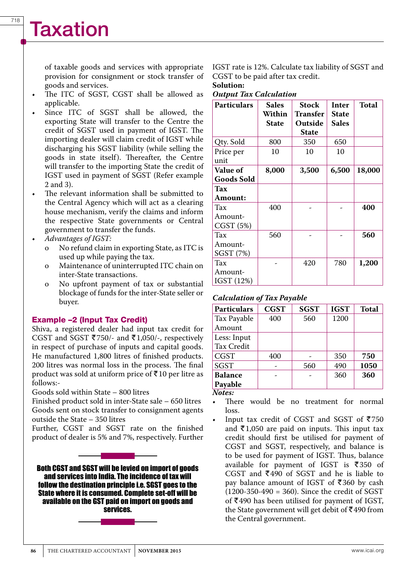# **Taxation**

of taxable goods and services with appropriate provision for consignment or stock transfer of goods and services.

- The ITC of SGST, CGST shall be allowed as applicable.
- Since ITC of SGST shall be allowed, the exporting State will transfer to the Centre the credit of SGST used in payment of IGST. The importing dealer will claim credit of IGST while discharging his SGST liability (while selling the goods in state itself). Thereafter, the Centre will transfer to the importing State the credit of IGST used in payment of SGST (Refer example 2 and 3).
- The relevant information shall be submitted to the Central Agency which will act as a clearing house mechanism, verify the claims and inform the respective State governments or Central government to transfer the funds.
- **Advantages of IGST:** 
	- No refund claim in exporting State, as ITC is used up while paying the tax.
	- o Maintenance of uninterrupted ITC chain on inter-State transactions.
	- o No upfront payment of tax or substantial blockage of funds for the inter-State seller or buyer.

# Example –2 (Input Tax Credit)

Shiva, a registered dealer had input tax credit for CGST and SGST ₹750/- and ₹1,050/-, respectively in respect of purchase of inputs and capital goods. He manufactured 1,800 litres of finished products. 200 litres was normal loss in the process. The final product was sold at uniform price of  $\bar{x}$ 10 per litre as follows:-

Goods sold within State – 800 litres

Finished product sold in inter-State sale – 650 litres Goods sent on stock transfer to consignment agents outside the State – 350 litres

Further, CGST and SGST rate on the finished product of dealer is 5% and 7%, respectively. Further

Both CGST and SGST will be levied on import of goods and services into India. The incidence of tax will follow the destination principle i.e. SGST goes to the State where it is consumed. Complete set-off will be available on the GST paid on import on goods and services.

IGST rate is 12%. Calculate tax liability of SGST and CGST to be paid after tax credit.

#### **Solution:**  *Output Tax Calculation*

| <b>Particulars</b>            | <b>Sales</b><br>Within<br>State | Stock<br>Transfer<br>Outside<br><b>State</b> | Inter<br><b>State</b><br><b>Sales</b> | <b>Total</b> |
|-------------------------------|---------------------------------|----------------------------------------------|---------------------------------------|--------------|
| Qty. Sold                     | 800                             | 350                                          | 650                                   |              |
| Price per<br>unit             | 10                              | 10                                           | 10                                    |              |
| <b>Value of</b><br>Goods Sold | 8,000                           | 3,500                                        | 6,500                                 | 18,000       |
| Tax<br><b>Amount:</b>         |                                 |                                              |                                       |              |
| Tax<br>Amount-<br>CGST(5%)    | 400                             |                                              |                                       | 400          |
| Tax<br>Amount-<br>SGST (7%)   | 560                             |                                              |                                       | 560          |
| Tax<br>Amount-<br>IGST (12%)  |                                 | 420                                          | 780                                   | 1,200        |

### *Calculation of Tax Payable*

| <b>Particulars</b> | <b>CGST</b> | <b>SGST</b> | <b>IGST</b> | <b>Total</b> |
|--------------------|-------------|-------------|-------------|--------------|
| Tax Payable        | 400         | 560         | 1200        |              |
| Amount             |             |             |             |              |
| Less: Input        |             |             |             |              |
| Tax Credit         |             |             |             |              |
| <b>CGST</b>        | 400         |             | 350         | 750          |
| <b>SGST</b>        |             | 560         | 490         | 1050         |
| <b>Balance</b>     |             |             | 360         | 360          |
| Payable            |             |             |             |              |
| $\lambda$ Laton    |             |             |             |              |

*Notes:* 

There would be no treatment for normal loss.

Input tax credit of CGST and SGST of  $\overline{5750}$ and  $\bar{\tau}$ 1,050 are paid on inputs. This input tax credit should first be utilised for payment of CGST and SGST, respectively, and balance is to be used for payment of IGST. Thus, balance available for payment of IGST is  $\overline{\xi}350$  of CGST and  $\overline{5}490$  of SGST and he is liable to pay balance amount of IGST of  $\overline{\xi}360$  by cash  $(1200-350-490 = 360)$ . Since the credit of SGST of  $\text{\texttt{F490}}$  has been utilised for payment of IGST, the State government will get debit of  $\bar{\mathfrak{g}}$  490 from the Central government.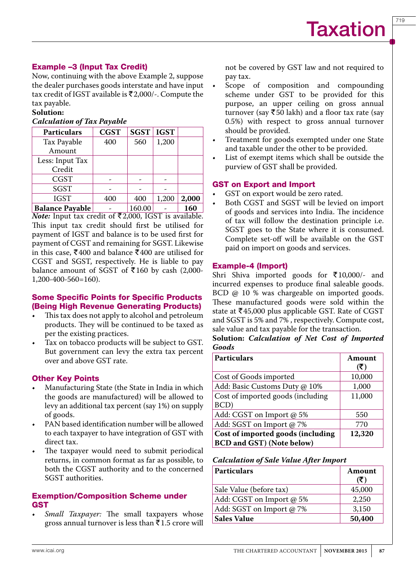# Example –3 (Input Tax Credit)

Now, continuing with the above Example 2, suppose the dealer purchases goods interstate and have input tax credit of IGST available is  $\bar{\mathfrak{r}}$ 2,000/-. Compute the tax payable.

# **Solution:**

# *Calculation of Tax Payable*

| <b>Particulars</b>     | <b>CGST</b> | <b>SGST</b> | <b>IGST</b> |       |
|------------------------|-------------|-------------|-------------|-------|
| Tax Payable            | 400         | 560         | 1,200       |       |
| Amount                 |             |             |             |       |
| Less: Input Tax        |             |             |             |       |
| Credit                 |             |             |             |       |
| <b>CGST</b>            |             |             |             |       |
| <b>SGST</b>            |             |             |             |       |
| <b>IGST</b>            | 400         | 400         | 1,200       | 2,000 |
| <b>Balance Payable</b> |             | 160.00      |             | 160   |

*Note:* Input tax credit of ₹2,000, IGST is available. This input tax credit should first be utilised for payment of IGST and balance is to be used first for payment of CGST and remaining for SGST. Likewise in this case, ₹400 and balance ₹400 are utilised for CGST and SGST, respectively. He is liable to pay balance amount of SGST of  $\overline{\xi}$ 160 by cash (2,000-1,200-400-560=160).

# Some Specific Points for Specific Products (Being High Revenue Generating Products)

- This tax does not apply to alcohol and petroleum products. They will be continued to be taxed as per the existing practices.
- Tax on tobacco products will be subject to GST. But government can levy the extra tax percent over and above GST rate.

# Other Key Points

- Manufacturing State (the State in India in which the goods are manufactured) will be allowed to levy an additional tax percent (say 1%) on supply of goods.
- PAN based identification number will be allowed to each taxpayer to have integration of GST with direct tax.
- The taxpayer would need to submit periodical returns, in common format as far as possible, to both the CGST authority and to the concerned SGST authorities.

# Exemption/Composition Scheme under GST

Small Taxpayer: The small taxpayers whose gross annual turnover is less than  $\bar{\tau}$ 1.5 crore will not be covered by GST law and not required to pay tax.

- Scope of composition and compounding scheme under GST to be provided for this purpose, an upper ceiling on gross annual turnover (say  $\overline{\xi}$ 50 lakh) and a floor tax rate (say 0.5%) with respect to gross annual turnover should be provided.
- Treatment for goods exempted under one State and taxable under the other to be provided.
- List of exempt items which shall be outside the purview of GST shall be provided.

# GST on Export and Import

- GST on export would be zero rated.
- Both CGST and SGST will be levied on import of goods and services into India. The incidence of tax will follow the destination principle i.e. SGST goes to the State where it is consumed. Complete set-off will be available on the GST paid on import on goods and services.

# Example-4 (Import)

Shri Shiva imported goods for  $\bar{\tau}10,000$ /- and incurred expenses to produce final saleable goods. BCD @ 10 % was chargeable on imported goods. These manufactured goods were sold within the state at  $\overline{\text{5}}$ 45,000 plus applicable GST. Rate of CGST and SGST is 5% and 7% , respectively. Compute cost, sale value and tax payable for the transaction.

**Solution:** *Calculation of Net Cost of Imported Goods*

| <b>Particulars</b>                | Amount<br>(₹) |
|-----------------------------------|---------------|
| Cost of Goods imported            | 10,000        |
| Add: Basic Customs Duty @ 10%     | 1,000         |
| Cost of imported goods (including | 11,000        |
| BCD)                              |               |
| Add: CGST on Import @ 5%          | 550           |
| Add: SGST on Import @ 7%          | 770           |
| Cost of imported goods (including | 12,320        |
| <b>BCD</b> and GST) (Note below)  |               |

# *Calculation of Sale Value After Import*

| <b>Particulars</b>       | Amount<br>(₹) |
|--------------------------|---------------|
| Sale Value (before tax)  | 45,000        |
| Add: CGST on Import @ 5% | 2,250         |
| Add: SGST on Import @ 7% | 3,150         |
| <b>Sales Value</b>       | 50,400        |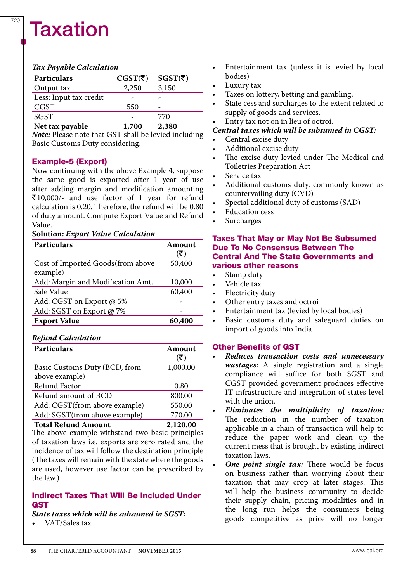# Taxation

#### *Tax Payable Calculation*

| Particulars            | CGST(₹) | SGST(ξ) |
|------------------------|---------|---------|
| Output tax             | 2,250   | 3,150   |
| Less: Input tax credit |         |         |
| <b>CGST</b>            | 550     |         |
| <b>SGST</b>            |         | 770     |
| Net tax payable        | 1,700   | 2,380   |

*Note:* Please note that GST shall be levied including Basic Customs Duty considering.

### Example-5 (Export)

Now continuing with the above Example 4, suppose the same good is exported after 1 year of use after adding margin and modification amounting R10,000/- and use factor of 1 year for refund calculation is 0.20. Therefore, the refund will be 0.80 of duty amount. Compute Export Value and Refund Value.

#### **Solution:** *Export Value Calculation*

| <b>Particulars</b>                            | Amount<br>(3) |
|-----------------------------------------------|---------------|
| Cost of Imported Goods(from above<br>example) | 50,400        |
| Add: Margin and Modification Amt.             | 10,000        |
| Sale Value                                    | 60,400        |
| Add: CGST on Export @ 5%                      |               |
| Add: SGST on Export @ 7%                      |               |
| <b>Export Value</b>                           | 60,400        |

# *Refund Calculation*

| <b>Particulars</b>            | Amount<br>(₹) |
|-------------------------------|---------------|
| Basic Customs Duty (BCD, from | 1,000.00      |
| above example)                |               |
| Refund Factor                 | 0.80          |
| Refund amount of BCD          | 800.00        |
| Add: CGST(from above example) | 550.00        |
| Add: SGST(from above example) | 770.00        |
| <b>Total Refund Amount</b>    | 2,120.00      |

The above example withstand two basic principles of taxation laws i.e. exports are zero rated and the incidence of tax will follow the destination principle (The taxes will remain with the state where the goods are used, however use factor can be prescribed by the law.)

## Indirect Taxes That Will Be Included Under **GST**

*State taxes which will be subsumed in SGST:*

VAT/Sales tax

- Entertainment tax (unless it is levied by local bodies)
- Luxury tax
- Taxes on lottery, betting and gambling.
- State cess and surcharges to the extent related to supply of goods and services.

# Entry tax not on in lieu of octroi.

# *Central taxes which will be subsumed in CGST:*

- Central excise duty
- Additional excise duty
- • The excise duty levied under The Medical and Toiletries Preparation Act
- Service tax
- Additional customs duty, commonly known as countervailing duty (CVD)
- Special additional duty of customs (SAD)
- **Education cess**
- **Surcharges**

#### Taxes That May or May Not Be Subsumed Due To No Consensus Between The Central And The State Governments and various other reasons

- Stamp duty
- Vehicle tax
- Electricity duty
- Other entry taxes and octroi
- Entertainment tax (levied by local bodies)
- Basic customs duty and safeguard duties on import of goods into India

### Other Benefits of GST

- • *Reduces transaction costs and unnecessary wastages:* A single registration and a single compliance will suffice for both SGST and CGST provided government produces effective IT infrastructure and integration of states level with the union.
- • *Eliminates the multiplicity of taxation:* The reduction in the number of taxation applicable in a chain of transaction will help to reduce the paper work and clean up the current mess that is brought by existing indirect taxation laws.
- **One point single tax:** There would be focus on business rather than worrying about their taxation that may crop at later stages. This will help the business community to decide their supply chain, pricing modalities and in the long run helps the consumers being goods competitive as price will no longer